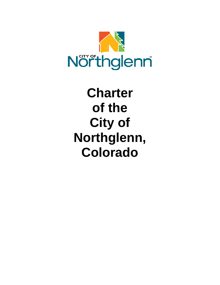

# **Charter of the City of Northglenn, Colorado**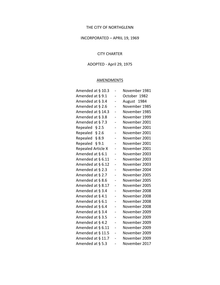## THE CITY OF NORTHGLENN

## INCORPORATED – APRIL 19, 1969

#### CITY CHARTER

# ADOPTED - April 29, 1975

# **AMENDMENTS**

| Amended at § 10.3         | -              | November 1981 |
|---------------------------|----------------|---------------|
| Amended at § 9.1          |                | October 1982  |
| Amended at § 3.4          | -              | August 1984   |
| Amended at § 2.6          |                | November 1985 |
| Amended at § 14.3         |                | November 1985 |
| Amended at § 3.8          |                | November 1999 |
| Amended at §7.3           |                | November 2001 |
| Repealed $§$ 2.5          |                | November 2001 |
| Repealed § 2.6            |                | November 2001 |
| Repealed § 8.9            |                | November 2001 |
| Repealed § 9.1            | $\overline{a}$ | November 2001 |
| <b>Repealed Article X</b> |                | November 2001 |
| Amended at § 6.1          |                | November 2003 |
| Amended at § 6.11         | $\overline{a}$ | November 2003 |
| Amended at § 6.12         | -              | November 2003 |
| Amended at § 2.3          |                | November 2004 |
| Amended at § 2.7          |                | November 2005 |
| Amended at § 8.6          |                | November 2005 |
| Amended at § 8.17         | -              | November 2005 |
| Amended at § 3.4          |                | November 2008 |
| Amended at § 4.1          |                | November 2008 |
| Amended at § 6.1          | $\overline{a}$ | November 2008 |
| Amended at § 6.4          |                | November 2008 |
| Amended at § 3.4          |                | November 2009 |
| Amended at § 3.5          |                | November 2009 |
| Amended at § 4.2          |                | November 2009 |
| Amended at § 6.11         |                | November 2009 |
| Amended at § 11.5         |                | November 2009 |
| Amended at § 11.7         |                | November 2009 |
| Amended at § 5.3          |                | November 2017 |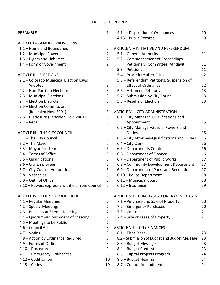| PREAMBLE                                      | $\mathbf{1}$   | 4.14 – Disposition of Ordinances              | 10 |
|-----------------------------------------------|----------------|-----------------------------------------------|----|
|                                               |                | 4.15 - Public Records                         | 10 |
| <b>ARTICLE I-GENERAL PROVISIONS</b>           |                |                                               |    |
| 1.1 - Name and Boundaries                     | $\overline{2}$ | ARTICLE V - INITIATIVE AND REFERENDUM         |    |
| 1.2 - Municipal Powers                        | $\overline{2}$ | 5.1 - General Authority                       | 11 |
| 1.3 - Rights and Liabilities                  | $\overline{2}$ | 5.2 - Commencement of Proceedings             |    |
| 1.4 - Form of Government                      | $\overline{2}$ | Petitioners' Committee; Affidavit             | 11 |
|                                               |                | $5.3 - Petitions$                             | 11 |
| <b>ARTICLE II - ELECTIONS</b>                 |                | 5.4 - Procedure after Filing                  | 12 |
| 2.1 - Colorado Municipal Election Laws        |                | 5.5 - Referendum Petitions: Suspension of     |    |
| Adopted                                       | 3              | <b>Effect of Ordinance</b>                    | 12 |
| 2.2 - Non-Partisan Elections                  | 3              | 5.6 - Action on Petitions                     | 13 |
| 2.3 - Municipal Elections                     | 3              | 5.7 - Submission by City Council              | 13 |
| 2.4 - Election Districts                      | 3              | 5.8 - Results of Election                     | 13 |
| 2.5 - Election Commission                     |                |                                               |    |
| (Repealed Nov. 2001)                          | 3              | ARTICLE VI - CITY ADMINISTRATION              |    |
| 2.6 - Disclosure (Repealed Nov. 2001)         | 3              | 6.1 - City Manager-Qualifications and         |    |
| $2.7 - Recall$                                | 3              | Appointment                                   | 15 |
|                                               |                | 6.2 - City Manager-Special Powers and         |    |
| ARTICLE III - THE CITY COUNCIL                |                | <b>Duties</b>                                 | 15 |
| 3.1 - The City Council                        | 5              | 6.3 – City Attorney–Qualifications and Duties | 16 |
| 3.2 - The Mayor                               | 5              | $6.4$ – City Clerk                            | 16 |
| 3.3 - Mayor Pro Tem                           | 5              | 6.5 - Departments Created                     | 16 |
| 3.4 - Terms of Office                         | 5              | 6.6 – Department of Finance                   | 16 |
| $3.5 -$ Qualifications                        | 5              | 6.7 - Department of Public Works              | 17 |
| 3.6 - City Employees                          | 6              | 6.8 - Community Development Department        | 17 |
| 3.7 - City Council Honorarium                 | 6              | 6.9 - Department of Parks and Recreation      | 17 |
| 3.8 - Vacancies                               | 6              | 6.10 - Police Department                      | 18 |
| 3.9 - Oath of Office                          | 6              | 6.11 - Municipal Court                        | 18 |
| 3.10 - Powers expressly withheld from Council | 6              | $6.12$ – Insurance                            | 19 |
| <b>ARTICLE IV - COUNCIL PROCEDURE</b>         |                | ARTICLE VII - PURCHASES-CONTRACTS-LEASES      |    |
| 4.1 - Regular Meetings                        | 7              | 7.1 - Purchase and Sale of Property           | 20 |
| 4.2 - Special Meetings                        | 7              | 7.2 - Emergency Purchases                     | 20 |
| 4.3 - Business at Special Meetings            | 7              | $7.3$ – Contracts                             | 21 |
| 4.4 - Quorum-Adjournment of Meeting           | 7              | 7.4 – Sale or Lease of Property               | 21 |
| 4.5 - Meetings to be Public                   | 7              |                                               |    |
| 4.6 - Council Acts                            | 8              | <b>ARTICLE VIII - CITY FINANCES</b>           |    |
| $4.7 - Voting$                                | 8              | 8.1 - Fiscal Year                             | 23 |
| 4.8 - Action by Ordinance Required            | 8              | 8.2 - Submission of Budget and Budget Message | 23 |
| 4.9 - Forms of Ordinance                      | 8              | 8.3 - Budget Message                          | 23 |
| 4.10 - Procedure                              | 9              | 8.4 - Budget Content                          | 23 |
| 4.11 - Emergency Ordinances                   | 9              | 8.5 - Capital Projects Program                | 24 |
| 4.12 - Codification                           | 10             | 8.6 - Budget Hearing                          | 24 |
| $4.13 - Codes$                                | 10             | 8.7 - Council Amendments                      | 24 |
|                                               |                |                                               |    |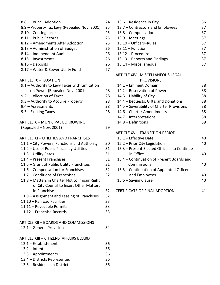| 8.8 – Council Adoption                       | 24 |
|----------------------------------------------|----|
| 8.9 – Property Tax Levy (Repealed Nov. 2001) | 25 |
| $8.10$ – Contingencies                       | 25 |
| 8.11 – Public Records                        | 25 |
| 8.12 - Amendments After Adoption             | 25 |
| 8.13 – Administration of Budget              | 26 |
| 8.14 - Independent Audit                     | 26 |
| 8.15 – Investments                           | 26 |
| $8.16 - Deposits$                            | 26 |
| 8.17 - Water & Sewer Utility Fund            | 27 |
|                                              |    |
| ARTICLE IX - TAXATION                        |    |

| 9.1 - Authority to Levy Taxes with Limitation |    |
|-----------------------------------------------|----|
| on Power (Repealed Nov. 2001)                 | 28 |
| 9.2 – Collection of Taxes                     | 28 |
| 9.3 – Authority to Acquire Property           | 28 |
| $9.4 - Assessments$                           | 28 |
| $9.5 -$ Existing Taxes                        | 28 |
|                                               |    |
| ATC1C1<br>MUINICIDAL DODDOMINIC               |    |

| ARTICLE X – MUNICIPAL BORROWING |  |
|---------------------------------|--|
| $(Repeated - Nov. 2001)$        |  |

#### ARTICLE XI – UTILITIES AND FRANCHISES

| 11.1 – City Powers, Functions and Authority   | 30 |
|-----------------------------------------------|----|
| 11.2 - Use of Public Places by Utilities      | 31 |
| 11.3 - Utility Rates                          | 31 |
| 11.4 - Present Franchises                     | 31 |
| 11.5 – Grant of Public Utility Franchises     | 31 |
| 11.6 – Compensation for Franchises            | 32 |
| 11.7 - Conditions of Franchises               | 32 |
| 11.8 - Matters in Charter Not to Impair Right |    |
| of City Council to Insert Other Matters       |    |
| in Franchise                                  | 32 |
| 11.9 – Assignment and Leasing of Franchises   | 32 |
| 11.10 - Railroad Facilities                   | 33 |
| 11.11 - Revocable Permits                     | 33 |
| 11.12 – Franchise Records                     | 33 |
| <b>ARTICLE XII - BOARDS AND COMMISSIONS</b>   |    |
| 12.1 – General Provisions                     | 34 |
| ARTICLE XIII – CITIZENS' AFFAIRS BOARD        |    |
| $13.1 - Establishment$                        | 36 |
| $12.7 - Int$                                  | つに |

| 36 |
|----|
| 36 |
| 36 |
| 36 |
|    |

| 13.6 - Residence in City         | 36 |
|----------------------------------|----|
| 13.7 - Contractors and Employees | 37 |
| $13.8 -$ Compensation            | 37 |
| $13.9 - Meetings$                | 37 |
| 13.10 - Officers-Rules           | 37 |
| $13.11 -$ Function               | 37 |
| 13.12 - Procedure                | 37 |
| 13.13 – Reports and Findings     | 37 |
| 13.14 - Miscellaneous            | 37 |
|                                  |    |

#### ARTICLE XIV - MISCELLANEOUS LEGAL PROVISIONS

| 14.1 - Eminent Domain                     | 38 |
|-------------------------------------------|----|
| 14.2 – Reservation of Power               | 38 |
| $14.3$ – Liability of City                | 38 |
| 14.4 - Bequests, Gifts, and Donations     | 38 |
| 14.5 - Severability of Charter Provisions | 38 |
| 14.6 - Charter Amendments                 | 38 |
| 14.7 - Interpretations                    | 38 |
| $14.8 -$ Definitions                      | 39 |
|                                           |    |

#### ARTICLE XV – TRANSITION PERIOD

|    | 15.1 - Effective Date                        | 40 |
|----|----------------------------------------------|----|
| 30 | 15.2 – Prior City Legislation                | 40 |
| 31 | 15.3 - Present Elected Officials to Continue |    |
| 31 | in Office                                    | 40 |
| 31 | 15.4 – Continuation of Present Boards and    |    |
| 31 | Commissions                                  | 40 |
| 32 | 15.5 – Continuation of Appointed Officers    |    |
| 32 | and Employees                                | 40 |
|    | 15.6 - Saving Clause                         | 40 |
| 32 | <b>CERTIFICATE OF FINAL ADOPTION</b>         |    |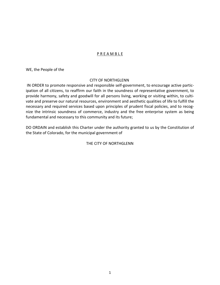# P R E A M B L E

WE, the People of the

## CITY OF NORTHGLENN

IN ORDER to promote responsive and responsible self-government, to encourage active participation of all citizens, to reaffirm our faith in the soundness of representative government, to provide harmony, safety and goodwill for all persons living, working or visiting within, to cultivate and preserve our natural resources, environment and aesthetic qualities of life to fulfill the necessary and required services based upon principles of prudent fiscal policies, and to recognize the intrinsic soundness of commerce, industry and the free enterprise system as being fundamental and necessary to this community and its future;

DO ORDAIN and establish this Charter under the authority granted to us by the Constitution of the State of Colorado, for the municipal government of

# THE CITY OF NORTHGLENN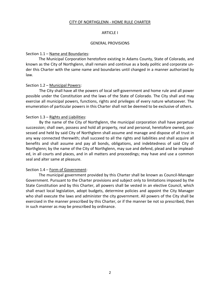## CITY OF NORTHGLENN - HOME RULE CHARTER

#### ARTICLE I

#### GENERAL PROVISIONS

#### Section 1.1 – Name and Boundaries:

The Municipal Corporation heretofore existing in Adams County, State of Colorado, and known as the City of Northglenn, shall remain and continue as a body politic and corporate under this Charter with the same name and boundaries until changed in a manner authorized by law.

#### Section 1.2 – Municipal Powers:

The City shall have all the powers of local self-government and home rule and all power possible under the Constitution and the laws of the State of Colorado. The City shall and may exercise all municipal powers, functions, rights and privileges of every nature whatsoever. The enumeration of particular powers in this Charter shall not be deemed to be exclusive of others.

#### Section 1.3 – Rights and Liabilities:

By the name of the City of Northglenn, the municipal corporation shall have perpetual succession; shall own, possess and hold all property, real and personal, heretofore owned, possessed and held by said City of Northglenn shall assume and manage and dispose of all trust in any way connected therewith; shall succeed to all the rights and liabilities and shall acquire all benefits and shall assume and pay all bonds, obligations, and indebtedness of said City of Northglenn; by the name of the City of Northglenn, may sue and defend, plead and be impleaded, in all courts and places, and in all matters and proceedings; may have and use a common seal and alter same at pleasure.

## Section 1.4 – Form of Government:

The municipal government provided by this Charter shall be known as Council-Manager Government. Pursuant to the Charter provisions and subject only to limitations imposed by the State Constitution and by this Charter, all powers shall be vested in an elective Council, which shall enact local legislation, adopt budgets, determine policies and appoint the City Manager who shall execute the laws and administer the city government. All powers of the City shall be exercised in the manner prescribed by this Charter, or if the manner be not so prescribed, then in such manner as may be prescribed by ordinance.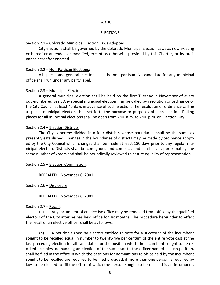## ARTICLE II

#### **ELECTIONS**

#### Section 2.1 – Colorado Municipal Election Laws Adopted:

City elections shall be governed by the Colorado Municipal Election Laws as now existing or hereafter amended or modified, except as otherwise provided by this Charter, or by ordinance hereafter enacted.

#### Section 2.2 – Non-Partisan Elections:

All special and general elections shall be non-partisan. No candidate for any municipal office shall run under any party label.

#### Section 2.3 – Municipal Elections:

A general municipal election shall be held on the first Tuesday in November of every odd-numbered year. Any special municipal election may be called by resolution or ordinance of the City Council at least 45 days in advance of such election. The resolution or ordinance calling a special municipal election shall set forth the purpose or purposes of such election. Polling places for all municipal elections shall be open from 7:00 a.m. to 7:00 p.m. on Election Day.

## Section 2.4 – Election Districts:

The City is hereby divided into four districts whose boundaries shall be the same as presently established. Changes in the boundaries of districts may be made by ordinance adopted by the City Council which changes shall be made at least 180 days prior to any regular municipal election. Districts shall be contiguous and compact, and shall have approximately the same number of voters and shall be periodically reviewed to assure equality of representation.

Section 2.5 – Election Commission:

REPEALED – November 6, 2001

Section 2.6 – Disclosure:

REPEALED – November 6, 2001

#### Section 2.7 – Recall:

(a) Any incumbent of an elective office may be removed from office by the qualified electors of the City after he has held office for six months. The procedure hereunder to effect the recall of an elective officer shall be as follows:

(b) A petition signed by electors entitled to vote for a successor of the incumbent sought to be recalled equal in number to twenty-five per centum of the entire vote cast at the last preceding election for all candidates for the position which the incumbent sought to be recalled occupies, demanding an election of the successor to the officer named in such petition, shall be filed in the office in which the petitions for nominations to office held by the incumbent sought to be recalled are required to be filed provided, if more than one person is required by law to be elected to fill the office of which the person sought to be recalled is an incumbent,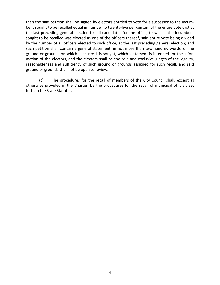then the said petition shall be signed by electors entitled to vote for a successor to the incumbent sought to be recalled equal in number to twenty-five per centum of the entire vote cast at the last preceding general election for all candidates for the office, to which the incumbent sought to be recalled was elected as one of the officers thereof, said entire vote being divided by the number of all officers elected to such office, at the last preceding general election; and such petition shall contain a general statement, in not more than two hundred words, of the ground or grounds on which such recall is sought, which statement is intended for the information of the electors, and the electors shall be the sole and exclusive judges of the legality, reasonableness and sufficiency of such ground or grounds assigned for such recall, and said ground or grounds shall not be open to review.

(c) The procedures for the recall of members of the City Council shall, except as otherwise provided in the Charter, be the procedures for the recall of municipal officials set forth in the State Statutes.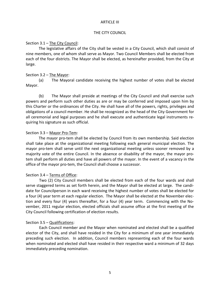## ARTICLE III

## THE CITY COUNCIL

#### Section 3.1 – The City Council:

The legislative affairs of the City shall be vested in a City Council, which shall consist of nine members, one of whom shall serve as Mayor. Two Council Members shall be elected from each of the four districts. The Mayor shall be elected, as hereinafter provided, from the City at large.

## Section 3.2 – The Mayor:

(a) The Mayoral candidate receiving the highest number of votes shall be elected Mayor.

(b) The Mayor shall preside at meetings of the City Council and shall exercise such powers and perform such other duties as are or may be conferred and imposed upon him by this Charter or the ordinances of the City. He shall have all of the powers, rights, privileges and obligations of a council member. He shall be recognized as the head of the City Government for all ceremonial and legal purposes and he shall execute and authenticate legal instruments requiring his signature as such official.

## Section 3.3 – Mayor Pro-Tem:

The mayor pro-tem shall be elected by Council from its own membership. Said election shall take place at the organizational meeting following each general municipal election. The mayor pro-tem shall serve until the next organizational meeting unless sooner removed by a majority vote of the entire Council. In the absence or disability of the mayor, the mayor protem shall perform all duties and have all powers of the mayor. In the event of a vacancy in the office of the mayor pro-tem, the Council shall choose a successor.

# Section 3.4 – Terms of Office:

Two (2) City Council members shall be elected from each of the four wards and shall serve staggered terms as set forth herein, and the Mayor shall be elected at large. The candidate for Councilperson in each ward receiving the highest number of votes shall be elected for a four (4) year term at each regular election. The Mayor shall be elected at the November election and every four (4) years thereafter, for a four (4) year term. Commencing with the November, 2011 regular election, elected officials shall assume office at the first meeting of the City Council following certification of election results.

## Section 3.5 – Qualifications:

Each Council member and the Mayor when nominated and elected shall be a qualified elector of the City, and shall have resided in the City for a minimum of one year immediately preceding such election. In addition, Council members representing each of the four wards when nominated and elected shall have resided in their respective ward a minimum of 32 days immediately preceding nomination.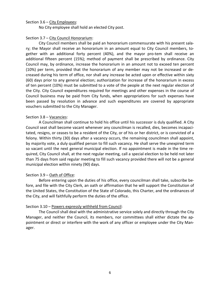#### Section 3.6 – City Employees:

No City employee shall hold an elected City post.

#### Section 3.7 – City Council Honorarium:

City Council members shall be paid an honorarium commensurate with his present salary; the Mayor shall receive an honorarium in an amount equal to City Council members, together with an additional forty percent (40%), and the mayor pro-tem shall receive an additional fifteen percent (15%); method of payment shall be prescribed by ordinance. City Council may, by ordinance, increase the honorarium in an amount not to exceed ten percent (10%) per term, provided that the honorarium of any member may not be increased or decreased during his term of office, nor shall any increase be acted upon or effective within sixty (60) days prior to any general election; authorization for increase of the honorarium in excess of ten percent (10%) must be submitted to a vote of the people at the next regular election of the City. City Council expenditures required for meetings and other expenses in the course of Council business may be paid from City funds, when appropriations for such expenses have been passed by resolution in advance and such expenditures are covered by appropriate vouchers submitted to the City Manager.

#### Section 3.8 – Vacancies:

A Councilman shall continue to hold his office until his successor is duly qualified. A City Council seat shall become vacant whenever any councilman is recalled, dies, becomes incapacitated, resigns, or ceases to be a resident of the City, or of his or her district, or is convicted of a felony. Within thirty (30) days after a vacancy occurs, the remaining councilmen shall appoint, by majority vote, a duly qualified person to fill such vacancy. He shall serve the unexpired term so vacant until the next general municipal election. If no appointment is made in the time required, City Council shall, at the next regular meeting, call a special election to be held not later than 75 days from said regular meeting to fill such vacancy provided there will not be a general municipal election within ninety (90) days.

## Section 3.9 - Oath of Office:

Before entering upon the duties of his office, every councilman shall take, subscribe before, and file with the City Clerk, an oath or affirmation that he will support the Constitution of the United States, the Constitution of the State of Colorado, this Charter, and the ordinances of the City, and will faithfully perform the duties of the office.

## Section 3.10 – Powers expressly withheld from Council:

The Council shall deal with the administrative service solely and directly through the City Manager, and neither the Council, its members, nor committees shall either dictate the appointment or direct or interfere with the work of any officer or employee under the City Manager.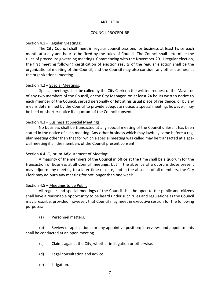#### ARTICLE IV

#### COUNCIL PROCEDURE

## Section 4.1 – Regular Meetings:

The City Council shall meet in regular council sessions for business at least twice each month at a day and hour to be fixed by the rules of Council. The Council shall determine the rules of procedure governing meetings. Commencing with the November 2011 regular election, the first meeting following certification of election results of the regular election shall be the organizational meeting of the Council, and the Council may also consider any other business at the organizational meeting.

## Section 4.2 – Special Meetings:

Special meetings shall be called by the City Clerk on the written request of the Mayor or of any two members of the Council, or the City Manager, on at least 24 hours written notice to each member of the Council, served personally or left at his usual place of residence, or by any means determined by the Council to provide adequate notice; a special meeting, however, may be held on shorter notice if a quorum of the Council consents.

## Section 4.3 – Business at Special Meetings:

No business shall be transacted at any special meeting of the Council unless it has been stated in the notice of such meeting. Any other business which may lawfully come before a regular meeting other than that for which a special meeting was called may be transacted at a special meeting if all the members of the Council present consent.

## Section 4.4- Quorum-Adjournment of Meeting:

A majority of the members of the Council in office at the time shall be a quorum for the transaction of business at all Council meetings, but in the absence of a quorum those present may adjourn any meeting to a later time or date, and in the absence of all members, the City Clerk may adjourn any meeting for not longer than one week.

## Section 4.5 – Meetings to be Public:

All regular and special meetings of the Council shall be open to the public and citizens shall have a reasonable opportunity to be heard under such rules and regulations as the Council may prescribe, provided, however, that Council may meet in executive session for the following purposes:

(a) Personnel matters.

(b) Review of applications for any appointive position; interviews and appointments shall be conducted at an open meeting.

- (c) Claims against the City, whether in litigation or otherwise.
- (d) Legal consultation and advice.
- (e) Litigation.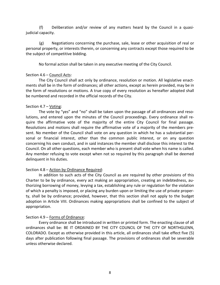(f) Deliberation and/or review of any matters heard by the Council in a quasijudicial capacity.

(g) Negotiations concerning the purchase, sale, lease or other acquisition of real or personal property, or interests therein, or concerning any contracts except those required to be the subject of competitive bidding.

No formal action shall be taken in any executive meeting of the City Council.

# Section 4.6 – Council Acts:

The City Council shall act only by ordinance, resolution or motion. All legislative enactments shall be in the form of ordinances; all other actions, except as herein provided, may be in the form of resolutions or motions. A true copy of every resolution as hereafter adopted shall be numbered and recorded in the official records of the City.

## Section 4.7 - Voting:

The vote by "yes" and "no" shall be taken upon the passage of all ordinances and resolutions, and entered upon the minutes of the Council proceedings. Every ordinance shall require the affirmative vote of the majority of the entire City Council for final passage. Resolutions and motions shall require the affirmative vote of a majority of the members present. No member of the Council shall vote on any question in which he has a substantial personal or financial interest, other than the common public interest, or on any question concerning his own conduct, and in said instances the member shall disclose this interest to the Council. On all other questions, each member who is present shall vote when his name is called. Any member refusing to vote except when not so required by this paragraph shall be deemed delinquent in his duties.

# Section 4.8 – Action by Ordinance Required:

In addition to such acts of the City Council as are required by other provisions of this Charter to be by ordinance, every act making an appropriation, creating an indebtedness, authorizing borrowing of money, levying a tax, establishing any rule or regulation for the violation of which a penalty is imposed, or placing any burden upon or limiting the use of private property, shall be by ordinance; provided, however, that this section shall not apply to the budget adoption in Article VIII. Ordinances making appropriations shall be confined to the subject of appropriation.

## Section 4.9 – Forms of Ordinance:

Every ordinance shall be introduced in written or printed form. The enacting clause of all ordinances shall be: BE IT ORDAINED BY THE CITY COUNCIL OF THE CITY OF NORTHGLENN, COLORADO. Except as otherwise provided in this article, all ordinances shall take effect five (5) days after publication following final passage. The provisions of ordinances shall be severable unless otherwise declared.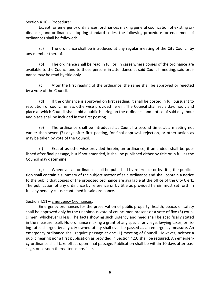## Section 4.10 – Procedure:

Except for emergency ordinances, ordinances making general codification of existing ordinances, and ordinances adopting standard codes, the following procedure for enactment of ordinances shall be followed:

(a) The ordinance shall be introduced at any regular meeting of the City Council by any member thereof.

(b) The ordinance shall be read in full or, in cases where copies of the ordinance are available to the Council and to those persons in attendance at said Council meeting, said ordinance may be read by title only.

(c) After the first reading of the ordinance, the same shall be approved or rejected by a vote of the Council.

(d) If the ordinance is approved on first reading, it shall be posted in full pursuant to resolution of council unless otherwise provided herein. The Council shall set a day, hour, and place at which Council shall hold a public hearing on the ordinance and notice of said day, hour and place shall be included in the first posting.

(e) The ordinance shall be introduced at Council a second time, at a meeting not earlier than seven (7) days after first posting, for final approval, rejection, or other action as may be taken by vote of the Council.

(f) Except as otherwise provided herein, an ordinance, if amended, shall be published after final passage, but if not amended, it shall be published either by title or in full as the Council may determine.

(g) Whenever an ordinance shall be published by reference or by title, the publication shall contain a summary of the subject matter of said ordinance and shall contain a notice to the public that copies of the proposed ordinance are available at the office of the City Clerk. The publication of any ordinance by reference or by title as provided herein must set forth in full any penalty clause contained in said ordinance.

# Section 4.11 – Emergency Ordinances:

Emergency ordinances for the preservation of public property, health, peace, or safety shall be approved only by the unanimous vote of councilmen present or a vote of five (5) councilmen, whichever is less. The facts showing such urgency and need shall be specifically stated in the measure itself. No ordinance making a grant of any special privilege, levying taxes, or fixing rates charged by any city-owned utility shall ever be passed as an emergency measure. An emergency ordinance shall require passage at one (1) meeting of Council. However, neither a public hearing nor a first publication as provided in Section 4.10 shall be required. An emergency ordinance shall take effect upon final passage. Publication shall be within 10 days after passage, or as soon thereafter as possible.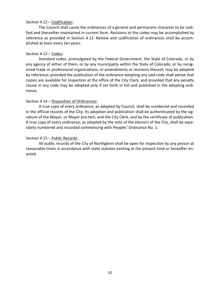## Section 4.12 – Codification:

The Council shall cause the ordinances of a general and permanent character to be codified and thereafter maintained in current form. Revisions to the codes may be accomplished by reference as provided in Section 4.13. Review and codification of ordinances shall be accomplished at least every ten years.

## Section 4.13 – Codes:

Standard codes, promulgated by the Federal Government, the State of Colorado, or by any agency of either of them, or by any municipality within the State of Colorado, or by recognized trade or professional organizations, or amendments or revisions thereof, may be adopted by reference; provided the publication of the ordinance adopting any said code shall advise that copies are available for inspection at the office of the City Clerk, and provided that any penalty clause in any code may be adopted only if set forth in full and published in the adopting ordinance.

## Section 4.14 – Disposition of Ordinances:

A true copy of every ordinance, as adopted by Council, shall be numbered and recorded in the official records of the City. Its adoption and publication shall be authenticated by the signature of the Mayor, or Mayor pro-tem, and the City Clerk, and by the certificate of publication. A true copy of every ordinance, as adopted by the vote of the electors of the City, shall be separately numbered and recorded commencing with Peoples' Ordinance No. 1.

## Section 4.15 - Public Records:

All public records of the City of Northglenn shall be open for inspection by any person at reasonable times in accordance with state statutes existing at the present time or hereafter enacted.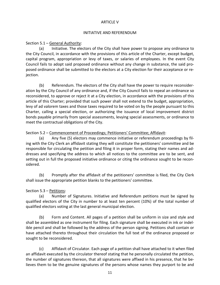## ARTICLE V

#### INITIATIVE AND REFERENDUM

## Section 5.1 – General Authority:

(a) Initiative. The electors of the City shall have power to propose any ordinance to the City Council, in accordance with the provisions of this article of the Charter, except budget, capital program, appropriation or levy of taxes, or salaries of employees. In the event City Council fails to adopt said proposed ordinance without any change in substance, the said proposed ordinance shall be submitted to the electors at a City election for their acceptance or rejection.

(b) Referendum. The electors of the City shall have the power to require reconsideration by the City Council of any ordinance and, if the City Council fails to repeal an ordinance so reconsidered, to approve or reject it at a City election, in accordance with the provisions of this article of this Charter; provided that such power shall not extend to the budget, appropriation, levy of ad valorem taxes and those taxes required to be voted on by the people pursuant to this Charter, calling a special election, or authorizing the issuance of local improvement district bonds payable primarily from special assessments, levying special assessments, or ordinance to meet the contractual obligations of the City.

## Section 5.2 – Commencement of Proceedings; Petitioners' Committee; Affidavit:

(a) Any five (5) electors may commence initiative or referendum proceedings by filing with the City Clerk an affidavit stating they will constitute the petitioners' committee and be responsible for circulating the petition and filing it in proper form, stating their names and addresses and specifying the address to which all notices to the committee are to be sent, and setting out in full the proposed initiative ordinance or citing the ordinance sought to be reconsidered.

(b) Promptly after the affidavit of the petitioners' committee is filed, the City Clerk shall issue the appropriate petition blanks to the petitioners' committee.

# Section 5.3 – Petitions:

(a) Number of Signatures. Initiative and Referendum petitions must be signed by qualified electors of the City in number to at least ten percent (10%) of the total number of qualified electors voting at the last general municipal election.

(b) Form and Content. All pages of a petition shall be uniform in size and style and shall be assembled as one instrument for filing. Each signature shall be executed in ink or indelible pencil and shall be followed by the address of the person signing. Petitions shall contain or have attached thereto throughout their circulation the full text of the ordinance proposed or sought to be reconsidered.

(c) Affidavit of Circulator. Each page of a petition shall have attached to it when filed an affidavit executed by the circulator thereof stating that he personally circulated the petition, the number of signatures thereon, that all signatures were affixed in his presence, that he believes them to be the genuine signatures of the persons whose names they purport to be and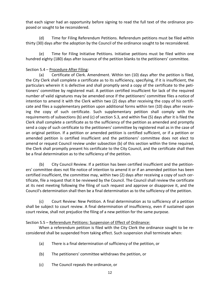that each signer had an opportunity before signing to read the full text of the ordinance proposed or sought to be reconsidered.

(d) Time for Filing Referendum Petitions. Referendum petitions must be filed within thirty (30) days after the adoption by the Council of the ordinance sought to be reconsidered.

(e) Time for Filing Initiative Petitions. Initiative petitions must be filed within one hundred eighty (180) days after issuance of the petition blanks to the petitioners' committee.

# Section 5.4 – Procedure After Filing:

(a) Certificate of Clerk. Amendment. Within ten (10) days after the petition is filed, the City Clerk shall complete a certificate as to its sufficiency, specifying, if it is insufficient, the particulars wherein it is defective and shall promptly send a copy of the certificate to the petitioners' committee by registered mail. A petition certified insufficient for lack of the required number of valid signatures may be amended once if the petitioners' committee files a notice of intention to amend it with the Clerk within two (2) days after receiving the copy of his certificate and files a supplementary petition upon additional forms within ten (10) days after receiving the copy of such certificate. Such supplementary petition shall comply with the requirements of subsections (b) and (c) of section 5.3, and within five (5) days after it is filed the Clerk shall complete a certificate as to the sufficiency of the petition as amended and promptly send a copy of such certificate to the petitioners' committee by registered mail as in the case of an original petition. If a petition or amended petition is certified sufficient, or if a petition or amended petition is certified insufficient and the petitioners' committee does not elect to amend or request Council review under subsection (b) of this section within the time required, the Clerk shall promptly present his certificate to the City Council, and the certificate shall then be a final determination as to the sufficiency of the petition.

(b) City Council Review. If a petition has been certified insufficient and the petitioners' committee does not file notice of intention to amend it or if an amended petition has been certified insufficient, the committee may, within two (2) days after receiving a copy of such certificate, file a request that it be reviewed by the Council. The Council shall review the certificate at its next meeting following the filing of such request and approve or disapprove it, and the Council's determination shall then be a final determination as to the sufficiency of the petition.

(c) Court Review: New Petition. A final determination as to sufficiency of a petition shall be subject to court review. A final determination of insufficiency, even if sustained upon court review, shall not prejudice the filing of a new petition for the same purpose.

# Section 5.5 – Referendum Petitions: Suspension of Effect of Ordinance:

When a referendum petition is filed with the City Clerk the ordinance sought to be reconsidered shall be suspended from taking effect. Such suspension shall terminate when:

- (a) There is a final determination of sufficiency of the petition, or
- (b) The petitioners' committee withdraws the petition, or
- (c) The Council repeals the ordinance, or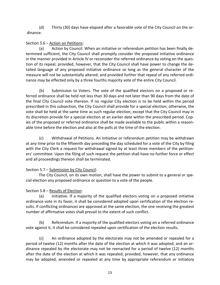(d) Thirty (30) days have elapsed after a favorable vote of the City Council on the ordinance.

# Section 5.6 – Action on Petitions:

(a) Action by Council. When an initiative or referendum petition has been finally determined sufficient, the City Council shall promptly consider the proposed initiative ordinance in the manner provided in Article IV or reconsider the referred ordinance by voting on the question of its repeal; provided, however, that the City Council shall have power to change the detailed language of any proposed initiative ordinance so long as the general character of the measure will not be substantially altered; and provided further that repeal of any referred ordinance may be effected only by a three fourths majority vote of the entire City Council.

(b) Submission to Voters. The vote of the qualified electors on a proposed or referred ordinance shall be held not less than 30 days and not later than 90 days from the date of the final City Council vote thereon. If no regular City election is to be held within the period prescribed in this subsection, the City Council shall provide for a special election; otherwise, the vote shall be held at the same time as such regular election, except that the City Council may in its discretion provide for a special election at an earlier date within the prescribed period. Copies of the proposed or referred ordinance shall be made available to the public within a reasonable time before the election and also at the polls at the time of the election.

(c) Withdrawal of Petitions. An initiative or referendum petition may be withdrawn at any time prior to the fifteenth day preceding the day scheduled for a vote of the City by filing with the City Clerk a request for withdrawal signed by at least three members of the petitioners' committee. Upon the filing of such request the petition shall have no further force or effect and all proceedings thereon shall be terminated.

# Section 5.7 – Submission by City Council:

The City Council, on its own motion, shall have the power to submit to a general or special election any proposed ordinance or question to a vote of the people.

# Section 5.8 – Results of Election:

(a) Initiative. If a majority of the qualified electors voting on a proposed initiative ordinance vote in its favor, it shall be considered adopted upon certification of the election results. If conflicting ordinances are approved at the same election, the one receiving the greatest number of affirmative votes shall prevail to the extent of such conflict.

(b) Referendum. If a majority of the qualified electors voting on a referred ordinance vote against it, it shall be considered repealed upon certification of the election results.

(c) An ordinance adopted by the electorate may not be amended or repealed for a period of twelve (12) months after the date of the election at which it was adopted, and an ordinance repealed by the electorate may not be reenacted for a period of twelve (12) months after the date of the election at which it was repealed; provided, however, that any ordinance may be adopted, amended or repealed at any time by appropriate referendum or initiatory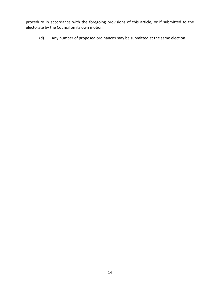procedure in accordance with the foregoing provisions of this article, or if submitted to the electorate by the Council on its own motion.

(d) Any number of proposed ordinances may be submitted at the same election.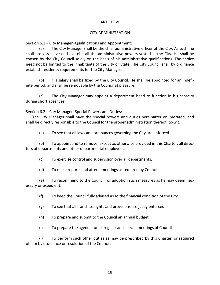## ARTICLE VI

## CITY ADMINISTRATION

Section 6.1 – City Manager–Qualifications and Appointment:

(a) The City Manager shall be the chief administrative officer of the City. As such, he shall possess, have and exercise all the administrative powers vested in the City. He shall be chosen by the City Council solely on the basis of his administrative qualifications. The choice need not be limited to the inhabitants of the City or State. The City Council shall by ordinance establish residency requirements for the City Manager.

(b) His salary shall be fixed by the City Council. He shall be appointed for an indefinite period, and shall be removable by the Council at pleasure.

(c) The City Manager may appoint a department head to function in his capacity during short absences.

Section 6.2 – City Manager–Special Powers and Duties:

The City Manager shall have the special powers and duties hereinafter enumerated, and shall be directly responsible to the Council for the proper administration thereof, to-wit:

(a) To see that all laws and ordinances governing the City are enforced.

(b) To appoint and to remove, except as otherwise provided in this Charter, all directors of departments and other departmental employees.

(c) To exercise control and supervision over all departments.

(d) To make reports and attend meetings as required by Council.

(e) To recommend to the Council for adoption such measures as he may deem necessary or expedient.

(f) To keep the Council fully advised as to the financial condition of the City.

(g) To see that all franchise rights and provisions are justly enforced.

(h) To prepare and submit to the Council an annual budget.

(i) To prepare the agenda for all regular and special meetings of Council.

(j) To perform such other duties as may be prescribed by this Charter, or required of him by ordinance or resolution of the Council.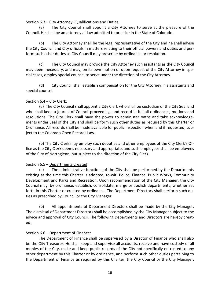Section 6.3 – City Attorney–Qualifications and Duties:

(a) The City Council shall appoint a City Attorney to serve at the pleasure of the Council. He shall be an attorney at law admitted to practice in the State of Colorado.

(b) The City Attorney shall be the legal representative of the City and he shall advise the City Council and City officials in matters relating to their official powers and duties and perform such other duties as City Council may prescribe by ordinance or resolution.

(c) The City Council may provide the City Attorney such assistants as the City Council may deem necessary, and may, on its own motion or upon request of the City Attorney in special cases, employ special counsel to serve under the direction of the City Attorney.

(d) City Council shall establish compensation for the City Attorney, his assistants and special counsel.

# Section 6.4 – City Clerk:

(a) The City Council shall appoint a City Clerk who shall be custodian of the City Seal and who shall keep a journal of Council proceedings and record in full all ordinances, motions and resolutions. The City Clerk shall have the power to administer oaths and take acknowledgements under Seal of the City and shall perform such other duties as required by this Charter or Ordinance. All records shall be made available for public inspection when and if requested, subject to the Colorado Open Records Law.

(b) The City Clerk may employ such deputies and other employees of the City Clerk's Office as the City Clerk deems necessary and appropriate, and such employees shall be employees of the City of Northglenn, but subject to the direction of the City Clerk.

# Section 6.5 – Departments Created:

(a) The administrative functions of the City shall be performed by the Departments existing at the time this Charter is adopted, to-wit: Police, Finance, Public Works, Community Development and Parks and Recreation. Upon recommendation of the City Manager, the City Council may, by ordinance, establish, consolidate, merge or abolish departments, whether set forth in this Charter or created by ordinance. The Department Directors shall perform such duties as prescribed by Council or the City Manager.

(b) All appointments of Department Directors shall be made by the City Manager. The dismissal of Department Directors shall be accomplished by the City Manager subject to the advice and approval of City Council. The following Departments and Directors are hereby created:

# Section 6.6 – Department of Finance:

The Department of Finance shall be supervised by a Director of Finance who shall also be the City Treasurer. He shall keep and supervise all accounts, receive and have custody of all monies of the City, make and keep public records of the City not specifically entrusted to any other department by this Charter or by ordinance, and perform such other duties pertaining to the Department of Finance as required by this Charter, the City Council or the City Manager.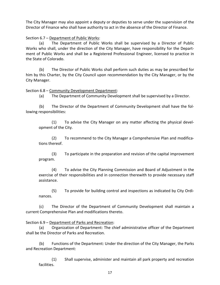The City Manager may also appoint a deputy or deputies to serve under the supervision of the Director of Finance who shall have authority to act in the absence of the Director of Finance.

## Section 6.7 – Department of Public Works:

(a) The Department of Public Works shall be supervised by a Director of Public Works who shall, under the direction of the City Manager, have responsibility for the Department of Public Works and shall be a Registered Professional Engineer, licensed to practice in the State of Colorado.

(b) The Director of Public Works shall perform such duties as may be prescribed for him by this Charter, by the City Council upon recommendation by the City Manager, or by the City Manager.

## Section 6.8 – Community Development Department:

(a) The Department of Community Development shall be supervised by a Director.

(b) The Director of the Department of Community Development shall have the following responsibilities:

(1) To advise the City Manager on any matter affecting the physical development of the City.

(2) To recommend to the City Manager a Comprehensive Plan and modifications thereof.

(3) To participate in the preparation and revision of the capital improvement program.

(4) To advise the City Planning Commission and Board of Adjustment in the exercise of their responsibilities and in connection therewith to provide necessary staff assistance.

(5) To provide for building control and inspections as indicated by City Ordinances.

(c) The Director of the Department of Community Development shall maintain a current Comprehensive Plan and modifications thereto.

## Section 6.9 – Department of Parks and Recreation:

(a) Organization of Department: The chief administrative officer of the Department shall be the Director of Parks and Recreation.

(b) Functions of the Department: Under the direction of the City Manager, the Parks and Recreation Department:

(1) Shall supervise, administer and maintain all park property and recreation facilities.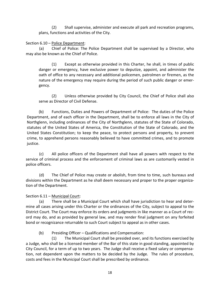(2) Shall supervise, administer and execute all park and recreation programs, plans, functions and activities of the City.

## Section 6.10 – Police Department:

(a) Chief of Police: The Police Department shall be supervised by a Director, who may also be known as the Chief of Police.

(1) Except as otherwise provided in this Charter, he shall, in times of public danger or emergency, have exclusive power to deputize, appoint, and administer the oath of office to any necessary and additional policemen, patrolmen or firemen, as the nature of the emergency may require during the period of such public danger or emergency.

(2) Unless otherwise provided by City Council, the Chief of Police shall also serve as Director of Civil Defense.

(b) Functions, Duties and Powers of Department of Police: The duties of the Police Department, and of each officer in the Department, shall be to enforce all laws in the City of Northglenn, including ordinances of the City of Northglenn, statutes of the State of Colorado, statutes of the United States of America, the Constitution of the State of Colorado, and the United States Constitution; to keep the peace, to protect persons and property, to prevent crime, to apprehend persons reasonably believed to have committed crimes, and to promote justice.

(c) All police officers of the Department shall have all powers with respect to the service of criminal process and the enforcement of criminal laws as are customarily vested in police officers.

(d) The Chief of Police may create or abolish, from time to time, such bureaus and divisions within the Department as he shall deem necessary and proper to the proper organization of the Department.

Section 6.11 – Municipal Court:

(a) There shall be a Municipal Court which shall have jurisdiction to hear and determine all cases arising under this Charter or the ordinances of the City, subject to appeal to the District Court. The Court may enforce its orders and judgments in like manner as a Court of record may do, and as provided by general law, and may render final judgment on any forfeited bond or recognizance returnable to such Court subject to appeal as in other cases.

(b) Presiding Officer – Qualifications and Compensation:

(1) The Municipal Court shall be presided over, and its functions exercised by a Judge, who shall be a licensed member of the Bar of this state in good standing, appointed by City Council, for a term of up to two years. The Judge shall receive a fixed salary or compensation, not dependent upon the matters to be decided by the Judge. The rules of procedure, costs and fees in the Municipal Court shall be prescribed by ordinance.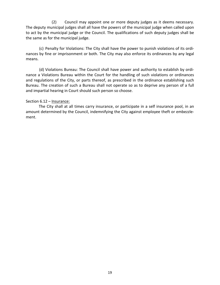(2) Council may appoint one or more deputy judges as it deems necessary. The deputy municipal judges shall all have the powers of the municipal judge when called upon to act by the municipal judge or the Council. The qualifications of such deputy judges shall be the same as for the municipal judge.

(c) Penalty for Violations: The City shall have the power to punish violations of its ordinances by fine or imprisonment or both. The City may also enforce its ordinances by any legal means.

(d) Violations Bureau: The Council shall have power and authority to establish by ordinance a Violations Bureau within the Court for the handling of such violations or ordinances and regulations of the City, or parts thereof, as prescribed in the ordinance establishing such Bureau. The creation of such a Bureau shall not operate so as to deprive any person of a full and impartial hearing in Court should such person so choose.

## Section 6.12 – Insurance:

The City shall at all times carry insurance, or participate in a self insurance pool, in an amount determined by the Council, indemnifying the City against employee theft or embezzlement.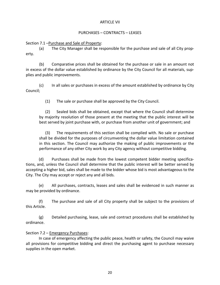## ARTICLE VII

## PURCHASES – CONTRACTS – LEASES

Section 7.1 –Purchase and Sale of Property:

(a) The City Manager shall be responsible for the purchase and sale of all City property.

(b) Comparative prices shall be obtained for the purchase or sale in an amount not in excess of the dollar value established by ordinance by the City Council for all materials, supplies and public improvements.

(c) In all sales or purchases in excess of the amount established by ordinance by City Council;

(1) The sale or purchase shall be approved by the City Council.

(2) Sealed bids shall be obtained, except that where the Council shall determine by majority resolution of those present at the meeting that the public interest will be best served by joint purchase with, or purchase from another unit of government; and

(3) The requirements of this section shall be complied with. No sale or purchase shall be divided for the purposes of circumventing the dollar value limitation contained in this section. The Council may authorize the making of public improvements or the performance of any other City work by any City agency without competitive bidding.

(d) Purchases shall be made from the lowest competent bidder meeting specifications, and, unless the Council shall determine that the public interest will be better served by accepting a higher bid, sales shall be made to the bidder whose bid is most advantageous to the City. The City may accept or reject any and all bids.

(e) All purchases, contracts, leases and sales shall be evidenced in such manner as may be provided by ordinance.

(f) The purchase and sale of all City property shall be subject to the provisions of this Article.

(g) Detailed purchasing, lease, sale and contract procedures shall be established by ordinance.

# Section 7.2 – Emergency Purchases:

In case of emergency affecting the public peace, health or safety, the Council may waive all provisions for competitive bidding and direct the purchasing agent to purchase necessary supplies in the open market.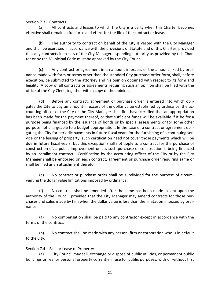# Section 7.3 – Contracts:

(a) All contracts and leases to which the City is a party when this Charter becomes effective shall remain in full force and effect for the life of the contract or lease.

(b) The authority to contract on behalf of the City is vested with the City Manager and shall be exercised in accordance with the provisions of Statute and of this Charter, provided that any contracts in excess of the City Manager's spending authority as provided by this Charter or by the Municipal Code must be approved by the City Council.

(c) Any contract or agreement in an amount in excess of the amount fixed by ordinance made with form or terms other than the standard City purchase order form, shall, before execution, be submitted to the attorney and his opinion obtained with respect to its form and legality. A copy of all contracts or agreements requiring such an opinion shall be filed with the office of the City Clerk, together with a copy of the opinion.

(d) Before any contract, agreement or purchase order is entered into which obligates the City to pay an amount in excess of the dollar value established by ordinance, the accounting officer of the City or the City Manager shall first have certified that an appropriation has been made for the payment thereof, or that sufficient funds will be available if it be for a purpose being financed by the issuance of bonds or by special assessments or for some other purpose not chargeable to a budget appropriation. In the case of a contract or agreement obligating the City for periodic payments in future fiscal years for the furnishing of a continuing service or the leasing of property, such certification need not cover those payments which will be due in future fiscal years, but this exception shall not apply to a contract for the purchase of construction of, a public improvement unless such purchase or construction is being financed by an installment contract. Certification by the accounting officer of the City or by the City Manager shall be endorsed on each contract, agreement or purchase order requiring same or shall be filed as an attachment thereto.

(e) No contract or purchase order shall be subdivided for the purpose of circumventing the dollar value limitations imposed by ordinance.

(f) No contract shall be amended after the same has been made except upon the authority of the Council, provided that the City Manager may amend contracts for those purchases and sales made by him when the dollar value is less than the limitation imposed by ordinance.

(g) No compensation shall be paid to any contractor except in accordance with the terms of the contract.

(h) No contract shall be made with any person, firm or corporation who is in default to the City.

# Section 7.4 – Sale or Lease of Property:

(a) City Council may sell, exchange or dispose of public utilities, or permanent public buildings or real or personal property currently in use for public purposes, with or without first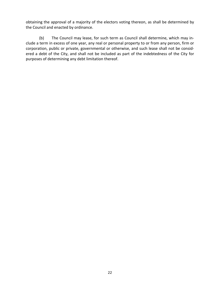obtaining the approval of a majority of the electors voting thereon, as shall be determined by the Council and enacted by ordinance.

(b) The Council may lease, for such term as Council shall determine, which may include a term in excess of one year, any real or personal property to or from any person, firm or corporation, public or private, governmental or otherwise, and such lease shall not be considered a debt of the City, and shall not be included as part of the indebtedness of the City for purposes of determining any debt limitation thereof.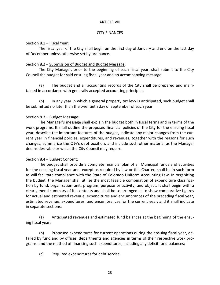## ARTICLE VIII

## CITY FINANCES

## Section 8.1 – Fiscal Year:

The fiscal year of the City shall begin on the first day of January and end on the last day of December unless otherwise set by ordinance.

# Section 8.2 – Submission of Budget and Budget Message:

The City Manager, prior to the beginning of each fiscal year, shall submit to the City Council the budget for said ensuing fiscal year and an accompanying message.

(a) The budget and all accounting records of the City shall be prepared and maintained in accordance with generally accepted accounting principles.

(b) In any year in which a general property tax levy is anticipated, such budget shall be submitted no later than the twentieth day of September of each year.

# Section 8.3 – Budget Message:

The Manager's message shall explain the budget both in fiscal terms and in terms of the work programs. It shall outline the proposed financial policies of the City for the ensuing fiscal year, describe the important features of the budget, indicate any major changes from the current year in financial policies, expenditures, and revenues, together with the reasons for such changes, summarize the City's debt position, and include such other material as the Manager deems desirable or which the City Council may require.

# Section 8.4 – Budget Content:

The budget shall provide a complete financial plan of all Municipal funds and activities for the ensuing fiscal year and, except as required by law or this Charter, shall be in such form as will facilitate compliance with the State of Colorado Uniform Accounting Law. In organizing the budget, the Manager shall utilize the most feasible combination of expenditure classification by fund, organization unit, program, purpose or activity, and object. It shall begin with a clear general summary of its contents and shall be so arranged as to show comparative figures for actual and estimated revenue, expenditures and encumbrances of the preceding fiscal year, estimated revenue, expenditures, and encumbrances for the current year, and it shall indicate in separate sections:

(a) Anticipated revenues and estimated fund balances at the beginning of the ensuing fiscal year;

(b) Proposed expenditures for current operations during the ensuing fiscal year, detailed by fund and by offices, departments and agencies in terms of their respective work programs, and the method of financing such expenditures, including any deficit fund balances;

(c) Required expenditures for debt service.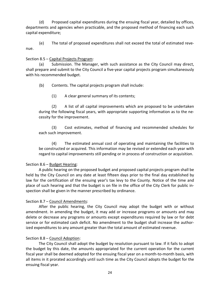(d) Proposed capital expenditures during the ensuing fiscal year, detailed by offices, departments and agencies when practicable, and the proposed method of financing each such capital expenditure;

(e) The total of proposed expenditures shall not exceed the total of estimated revenue.

#### Section 8.5 – Capital Projects Program:

(a) Submission. The Manager, with such assistance as the City Council may direct, shall prepare and submit to the City Council a five-year capital projects program simultaneously with his recommended budget.

(b) Contents. The capital projects program shall include:

(1) A clear general summary of its contents;

(2) A list of all capital improvements which are proposed to be undertaken during the following fiscal years, with appropriate supporting information as to the necessity for the improvement.

(3) Cost estimates, method of financing and recommended schedules for each such improvement.

(4) The estimated annual cost of operating and maintaining the facilities to be constructed or acquired. This information may be revised or extended each year with regard to capital improvements still pending or in process of construction or acquisition.

## Section 8.6 – Budget Hearing:

A public hearing on the proposed budget and proposed capital projects program shall be held by the City Council on any date at least fifteen days prior to the final day established by law for the certification of the ensuing year's tax levy to the County. Notice of the time and place of such hearing and that the budget is on file in the office of the City Clerk for public inspection shall be given in the manner prescribed by ordinance.

## Section 8.7 – Council Amendments:

After the public hearing, the City Council may adopt the budget with or without amendment. In amending the budget, it may add or increase programs or amounts and may delete or decrease any programs or amounts except expenditures required by law or for debt service or for estimated cash deficit. No amendment to the budget shall increase the authorized expenditures to any amount greater than the total amount of estimated revenue.

## Section 8.8 – Council Adoption:

The City Council shall adopt the budget by resolution pursuant to law. If it fails to adopt the budget by this date, the amounts appropriated for the current operation for the current fiscal year shall be deemed adopted for the ensuing fiscal year on a month-to-month basis, with all items in it prorated accordingly until such time as the City Council adopts the budget for the ensuing fiscal year.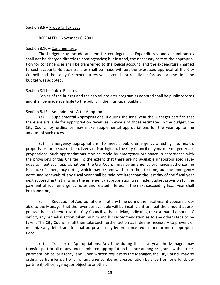Section 8.9 – Property Tax Levy:

REPEALED – November 6, 2001

## Section 8.10 – Contingencies:

The budget may include an item for contingencies. Expenditures and encumbrances shall not be charged directly to contingencies; but instead, the necessary part of the appropriation for contingencies shall be transferred to the logical account, and the expenditure charged to such account. No such transfer shall be made without the expressed approval of the City Council, and then only for expenditures which could not readily be foreseen at the time the budget was adopted.

## Section 8.11 – Public Records:

Copies of the budget and the capital projects program as adopted shall be public records and shall be made available to the public in the municipal building.

## Section 8.12 – Amendments After Adoption:

(a) Supplemental Appropriations. If during the fiscal year the Manager certifies that there are available for appropriation revenues in excess of those estimated in the budget, the City Council by ordinance may make supplemental appropriations for the year up to the amount of such excess.

(b) Emergency appropriations. To meet a public emergency affecting life, health, property or the peace of the citizens of Northglenn, the City Council may make emergency appropriations. Such appropriations may be made by emergency ordinance in accordance with the provisions of this Charter. To the extent that there are no available unappropriated revenues to meet such appropriations, the City Council may by emergency ordinance authorize the issuance of emergency notes, which may be renewed from time to time, but the emergency notes and renewals of any fiscal year shall be paid not later than the last day of the fiscal year next succeeding that in which the emergency appropriation was made. Budget provision for the payment of such emergency notes and related interest in the next succeeding fiscal year shall be mandatory.

(c) Reduction of Appropriations. If at any time during the fiscal year it appears probable to the Manager that the revenues available will be insufficient to meet the amount appropriated, he shall report to the City Council without delay, indicating the estimated amount of deficit, any remedial action taken by him and his recommendation as to any other steps to be taken. The City Council shall then take such further action as it deems necessary to prevent or minimize any deficit and for that purpose it may by ordinance reduce one or more appropriations.

(d) Transfer of Appropriations. Any time during the fiscal year the Manager may transfer part or all of any unencumbered appropriation balance among programs within a department, office, or agency, and, upon written request by the Manager, the City Council may by ordinance transfer part or all of any unencumbered appropriation balance from one fund, department, office, agency, or object to another.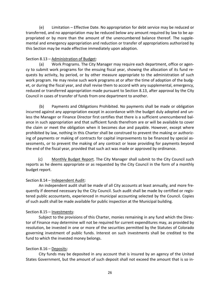(e) Limitation – Effective Date. No appropriation for debt service may be reduced or transferred, and no appropriation may be reduced below any amount required by law to be appropriated or by more than the amount of the unencumbered balance thereof. The supplemental and emergency appropriation and reduction or transfer of appropriations authorized by this Section may be made effective immediately upon adoption.

# Section 8.13 – Administration of Budget:

(a) Work Programs. The City Manager may require each department, office or agency to submit work programs for the ensuing fiscal year, showing the allocation of its fund requests by activity, by period, or by other measure appropriate to the administration of such work program. He may revise such work programs at or after the time of adoption of the budget, or during the fiscal year, and shall revise them to accord with any supplemental, emergency, reduced or transferred appropriation made pursuant to Section 8.13, after approval by the City Council in cases of transfer of funds from one department to another.

(b) Payments and Obligations Prohibited. No payments shall be made or obligation incurred against any appropriation except in accordance with the budget duly adopted and unless the Manager or Finance Director first certifies that there is a sufficient unencumbered balance in such appropriation and that sufficient funds therefrom are or will be available to cover the claim or meet the obligation when it becomes due and payable. However, except where prohibited by law, nothing in this Charter shall be construed to prevent the making or authorizing of payments or making of contracts for capital improvements to be financed by special assessments, or to prevent the making of any contract or lease providing for payments beyond the end of the fiscal year, provided that such act was made or approved by ordinance.

(c) Monthly Budget Report. The City Manager shall submit to the City Council such reports as he deems appropriate or as requested by the City Council in the form of a monthly budget report.

# Section 8.14 – Independent Audit:

An independent audit shall be made of all City accounts at least annually, and more frequently if deemed necessary by the City Council. Such audit shall be made by certified or registered public accountants, experienced in municipal accounting selected by the Council. Copies of such audit shall be made available for public inspection at the Municipal building.

# Section 8.15 – Investments:

Subject to the provisions of this Charter, monies remaining in any fund which the Director of Finance may determine will not be required for current expenditures may, as provided by resolution, be invested in one or more of the securities permitted by the Statutes of Colorado governing investment of public funds. Interest on such investments shall be credited to the fund to which the invested money belongs.

# Section 8.16 – Deposits:

City funds may be deposited in any account that is insured by an agency of the United States Government, but the amount of such deposit shall not exceed the amount that is so in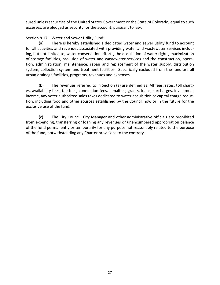sured unless securities of the United States Government or the State of Colorado, equal to such excesses, are pledged as security for the account, pursuant to law.

# Section 8.17 - Water and Sewer Utility Fund:

(a) There is hereby established a dedicated water and sewer utility fund to account for all activities and revenues associated with providing water and wastewater services including, but not limited to, water conservation efforts, the acquisition of water rights, maximization of storage facilities, provision of water and wastewater services and the construction, operation, administration, maintenance, repair and replacement of the water supply, distribution system, collection system and treatment facilities. Specifically excluded from the fund are all urban drainage facilities, programs, revenues and expenses.

(b) The revenues referred to in Section (a) are defined as: All fees, rates, toll charges, availability fees, tap fees, connection fees, penalties, grants, loans, surcharges, investment income, any voter authorized sales taxes dedicated to water acquisition or capital charge reduction, including food and other sources established by the Council now or in the future for the exclusive use of the fund.

(c) The City Council, City Manager and other administrative officials are prohibited from expending, transferring or loaning any revenues or unencumbered appropriation balance of the fund permanently or temporarily for any purpose not reasonably related to the purpose of the fund, notwithstanding any Charter provisions to the contrary.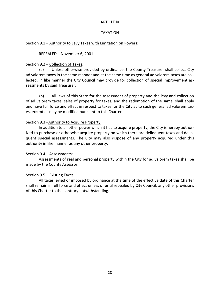#### ARTICLE IX

## TAXATION

## Section 9.1 – Authority to Levy Taxes with Limitation on Powers:

REPEALED – November 6, 2001

## Section 9.2 – Collection of Taxes:

(a) Unless otherwise provided by ordinance, the County Treasurer shall collect City ad valorem taxes in the same manner and at the same time as general ad valorem taxes are collected. In like manner the City Council may provide for collection of special improvement assessments by said Treasurer.

(b) All laws of this State for the assessment of property and the levy and collection of ad valorem taxes, sales of property for taxes, and the redemption of the same, shall apply and have full force and effect in respect to taxes for the City as to such general ad valorem taxes, except as may be modified pursuant to this Charter.

## Section 9.3 –Authority to Acquire Property:

In addition to all other power which it has to acquire property, the City is hereby authorized to purchase or otherwise acquire property on which there are delinquent taxes and delinquent special assessments. The City may also dispose of any property acquired under this authority in like manner as any other property.

# Section 9.4 – Assessments:

Assessments of real and personal property within the City for ad valorem taxes shall be made by the County Assessor.

# Section 9.5 – Existing Taxes:

All taxes levied or imposed by ordinance at the time of the effective date of this Charter shall remain in full force and effect unless or until repealed by City Council, any other provisions of this Charter to the contrary notwithstanding.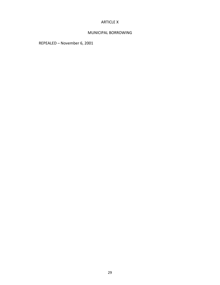## ARTICLE X

## MUNICIPAL BORROWING

REPEALED – November 6, 2001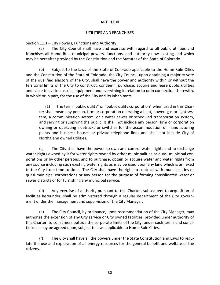## ARTICLE XI

## UTILITIES AND FRANCHISES

Section 11.1 – City Powers, Functions and Authority:

(a) The City Council shall have and exercise with regard to all public utilities and franchises all Home Rule municipal powers, functions, and authority now existing and which may be hereafter provided by the Constitution and the Statutes of the State of Colorado.

(b) Subject to the laws of the State of Colorado applicable to the Home Rule Cities and the Constitution of the State of Colorado, the City Council, upon obtaining a majority vote of the qualified electors of the City, shall have the power and authority within or without the territorial limits of the City to construct, condemn, purchase, acquire and lease public utilities and cable television assets, equipment and everything in relation to or in connection therewith, in whole or in part, for the use of the City and its inhabitants.

(1) The term "public utility" or "public utility corporation" when used in this Charter shall mean any person, firm or corporation operating a heat, power, gas or light system, a communication system, or a water sewer or scheduled transportation system, and serving or supplying the public. It shall not include any person, firm or corporation owning or operating sidetracks or switches for the accommodation of manufacturing plants and business houses or private telephone lines and shall not include City of Northglenn owned utilities.

(c) The City shall have the power to own and control water rights and to exchange water rights owned by it for water rights owned by other municipalities or quasi-municipal corporations or by other persons, and to purchase, obtain or acquire water and water rights from any source including such existing water rights as may be used upon any land which is annexed to the City from time to time. The City shall have the right to contract with municipalities or quasi-municipal corporations or any person for the purpose of forming consolidated water or sewer districts or for furnishing any municipal service.

(d) Any exercise of authority pursuant to this Charter, subsequent to acquisition of facilities hereunder, shall be administered through a regular department of the City government under the management and supervision of the City Manager.

(e) The City Council, by ordinance, upon recommendation of the City Manager, may authorize the extension of any City service or City owned facilities, provided under authority of this Charter, to consumers outside the corporate limits of the City, under such terms and conditions as may be agreed upon, subject to laws applicable to Home Rule Cities.

(f) The City shall have all the powers under the State Constitution and Laws to regulate the use and exploration of all energy resources for the general benefit and welfare of the citizens.

30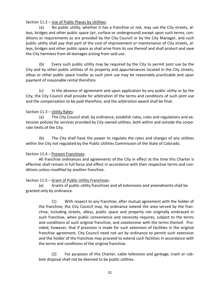# Section 11.2 – Use of Public Places by Utilities:

(a) No public utility, whether it has a franchise or not, may use the City streets, alleys, bridges and other public space (air, surface or underground) except upon such terms, conditions or requirements as are provided by the City Council or by the City Manager, and such public utility shall pay that part of the cost of improvement or maintenance of City streets, alleys, bridges and other public space as shall arise from its use thereof and shall protect and save the City harmless from all damages arising from said use.

(b) Every such public utility may be required by the City to permit joint use by the City and by other public utilities of its property and appurtenances located in the City streets, alleys or other public space insofar as such joint use may be reasonably practicable and upon payment of reasonable rental therefore.

(c) In the absence of agreement and upon application by any public utility or by the City, the City Council shall provide for arbitration of the terms and conditions of such joint use and the compensation to be paid therefore, and the arbitration award shall be final.

# Section 11.3 – Utility Rates:

(a) The City Council shall, by ordinance, establish rates, rules and regulations and extension policies for services provided by City owned utilities, both within and outside the corporate limits of the City.

(b) The City shall have the power to regulate the rates and charges of any utilities within the City not regulated by the Public Utilities Commission of the State of Colorado.

# Section 11.4 – Present Franchises:

All franchise ordinances and agreements of the City in effect at the time this Charter is effective shall remain in full force and effect in accordance with their respective terms and conditions unless modified by another franchise.

# Section 11.5 – Grant of Public Utility Franchises:

(a) Grants of public utility franchises and all extensions and amendments shall be granted only by ordinance.

(1) With respect to any franchise, after mutual agreement with the holder of the franchise, the City Council may, by ordinance extend the area served by the franchise, including streets, alleys, public space and property not originally embraced in such franchise, when public convenience and necessity requires, subject to the terms and conditions of such original franchise, and coextensive with the terms thereof. Provided, however, that if provision is made for such extension of facilities in the original franchise agreement, City Council need not act by ordinance to permit such extension and the holder of the franchise may proceed to extend such facilities in accordance with the terms and conditions of the original franchise.

(2) For purposes of this Charter, cable television and garbage, trash or rubbish disposal shall not be deemed to be public utilities.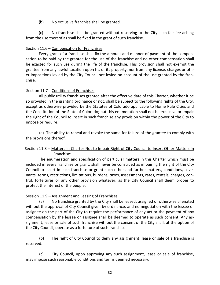(b) No exclusive franchise shall be granted.

(c) No franchise shall be granted without reserving to the City such fair fee arising from the use thereof as shall be fixed in the grant of such franchise.

# Section 11.6 – Compensation for Franchises:

Every grant of a franchise shall fix the amount and manner of payment of the compensation to be paid by the grantee for the use of the franchise and no other compensation shall be exacted for such use during the life of the franchise. This provision shall not exempt the grantee from any lawful taxation upon his or its property, nor from any license, charges or other impositions levied by the City Council not levied on account of the use granted by the franchise.

# Section 11.7 Conditions of Franchises:

All public utility franchises granted after the effective date of this Charter, whether it be so provided in the granting ordinance or not, shall be subject to the following rights of the City, except as otherwise provided by the Statutes of Colorado applicable to Home Rule Cities and the Constitution of the State of Colorado; but this enumeration shall not be exclusive or impair the right of the Council to insert in such franchise any provision within the power of the City to impose or require:

(a) The ability to repeal and revoke the same for failure of the grantee to comply with the provisions thereof.

# Section 11.8 – Matters in Charter Not to Impair Right of City Council to Insert Other Matters in Franchise:

The enumeration and specification of particular matters in this Charter which must be included in every franchise or grant, shall never be construed as impairing the right of the City Council to insert in such franchise or grant such other and further matters, conditions, covenants, terms, restrictions, limitations, burdens, taxes, assessments, rates, rentals, charges, control, forfeitures or any other provision whatever, as the City Council shall deem proper to protect the interest of the people.

# Session 11.9 – Assignment and Leasing of Franchises:

(a) No franchise granted by the City shall be leased, assigned or otherwise alienated without the approval of City Council given by ordinance, and no negotiation with the lessee or assignee on the part of the City to require the performance of any act or the payment of any compensation by the lessee or assignee shall be deemed to operate as such consent. Any assignment, lease or sale of such franchise without the consent of the City shall, at the option of the City Council, operate as a forfeiture of such franchise.

(b) The right of City Council to deny any assignment, lease or sale of a franchise is reserved.

(c) City Council, upon approving any such assignment, lease or sale of franchise, may impose such reasonable conditions and terms deemed necessary.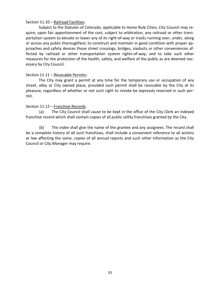## Section 11.10 – Railroad Facilities:

Subject to the Statutes of Colorado, applicable to Home Rule Cities, City Council may require, upon fair apportionment of the cost, subject to arbitration, any railroad or other transportation system to elevate or lower any of its right-of-way or tracks running over, under, along or across any public thoroughfare; to construct and maintain in good condition with proper approaches and safety devices those street crossings, bridges, viaducts or other conveniences affected by railroad or other transportation system rights-of-way; and to take such other measures for the protection of the health, safety, and welfare of the public as are deemed necessary by City Council.

## Section 11.11 – Revocable Permits:

The City may grant a permit at any time for the temporary use or occupation of any street, alley or City owned place, provided such permit shall be revocable by the City at its pleasure, regardless of whether or not such right to revoke be expressly reserved in such permit.

## Section 11.12 - Franchise Records:

(a) The City Council shall cause to be kept in the office of the City Clerk an indexed franchise record which shall contain copies of all public utility franchises granted by the City.

(b) The index shall give the name of the grantee and any assignees. The record shall be a complete history of all such franchises, shall include a convenient reference to all actions at law affecting the same, copies of all annual reports and such other information as the City Council or City Manager may require.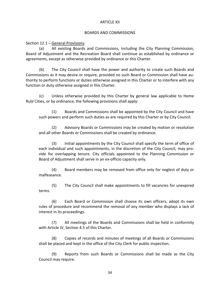#### ARTICLE XII

#### BOARDS AND COMMISSIONS

Section 12.1 – General Provisions:

(a) All existing Boards and Commissions, including the City Planning Commission, Board of Adjustment and the Recreation Board shall continue as established by ordinance or agreements, except as otherwise provided by ordinance or this Charter.

(b) The City Council shall have the power and authority to create such Boards and Commissions as it may desire or require, provided no such Board or Commission shall have authority to perform functions or duties otherwise assigned in this Charter or to interfere with any function or duty otherwise assigned in this Charter.

(c) Unless otherwise provided by this Charter by general law applicable to Home Rule Cities, or by ordinance, the following provisions shall apply:

(1) Boards and Commissions shall be appointed by the City Council and have such powers and perform such duties as are required by this Charter or by City Council.

(2) Advisory Boards or Commissions may be created by motion or resolution and all other Boards or Commissions shall be created by ordinance.

(3) Initial appointments by the City Council shall specify the term of office of each individual and such appointments, in the discretion of the City Council, may provide for overlapping tenure. City officials appointed to the Planning Commission or Board of Adjustment shall serve in an ex-officio capacity only.

(4) Board members may be removed from office only for neglect of duty or malfeasance.

(5) The City Council shall make appointments to fill vacancies for unexpired terms.

(6) Each Board or Commission shall choose its own officers, adopt its own rules of procedure and recommend the removal of any member who displays a lack of interest in its proceedings.

(7) All meetings of the Boards and Commissions shall be held in conformity with Article IV, Section 4.5 of this Charter.

(8) Copies of records and minutes of meetings of all Boards or Commissions shall be placed and kept in the office of the City Clerk for public inspection.

(9) Reports from such Boards or Commissions shall be made as the City Council may require.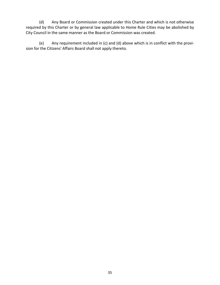(d) Any Board or Commission created under this Charter and which is not otherwise required by this Charter or by general law applicable to Home Rule Cities may be abolished by City Council in the same manner as the Board or Commission was created.

(e) Any requirement included in (c) and (d) above which is in conflict with the provision for the Citizens' Affairs Board shall not apply thereto.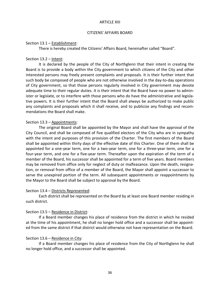#### ARTICLE XIII

#### CITIZENS' AFFAIRS BOARD

#### Section 13.1 – Establishment:

There is hereby created the Citizens' Affairs Board, hereinafter called "Board".

## Section 13.2 – Intent:

It is declared by the people of the City of Northglenn that their intent in creating the Board is to provide a body within the City government to which citizens of the City and other interested persons may freely present complaints and proposals. It is their further intent that such body be composed of people who are not otherwise involved in the day-to-day operations of City government, so that those persons regularly involved in City government may devote adequate time to their regular duties. It is their intent that the Board have no power to administer or legislate, or to interfere with those persons who do have the administrative and legislative powers. It is their further intent that the Board shall always be authorized to make public any complaints and proposals which it shall receive, and to publicize any findings and recommendations the Board shall make.

## Section 13.3 – Appointments:

The original Board shall be appointed by the Mayor and shall have the approval of the City Council, and shall be composed of five qualified electors of the City who are in sympathy with the intent and purposes of this provision of the Charter. The first members of the Board shall be appointed within thirty days of the effective date of this Charter. One of them shall be appointed for a one-year term, one for a two-year term, one for a three-year term, one for a four-year term, and one for a five-year term. Thereafter upon the expiration of the term of a member of the Board, his successor shall be appointed for a term of five years. Board members may be removed from office only for neglect of duty or malfeasance. Upon the death, resignation, or removal from office of a member of the Board, the Mayor shall appoint a successor to serve the unexpired portion of the term. All subsequent appointments or reappointments by the Mayor to the Board shall be subject to approval by the Board.

## Section 13.4 – Districts Represented:

Each district shall be represented on the Board by at least one Board member residing in such district.

## Section 13.5 – Residence in District:

If a Board member changes his place of residence from the district in which he resided at the time of his appointment, he shall no longer hold office and a successor shall be appointed from the same district if that district would otherwise not have representation on the Board.

## Section 13.6 – Residence in City:

If a Board member changes his place of residence from the City of Northglenn he shall no longer hold office, and a successor shall be appointed.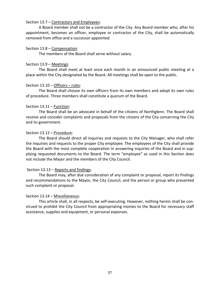#### Section 13.7 – Contractors and Employees:

A Board member shall not be a contractor of the City. Any Board member who, after his appointment, becomes an officer, employee or contractor of the City, shall be automatically removed from office and a successor appointed.

#### Section 13.8 – Compensation:

The members of the Board shall serve without salary.

#### Section 13.9 – Meetings:

The Board shall meet at least once each month in an announced public meeting at a place within the City designated by the Board. All meetings shall be open to the public.

## Section 13.10 – Officers – rules:

The Board shall choose its own officers from its own members and adopt its own rules of procedure. Three members shall constitute a quorum of the Board.

## Section 13.11 – Function:

The Board shall be an advocate in behalf of the citizens of Northglenn. The Board shall receive and consider complaints and proposals from the citizens of the City concerning the City and its government.

## Section 13.12 – Procedure:

The Board should direct all inquiries and requests to the City Manager, who shall refer the inquiries and requests to the proper City employee. The employees of the City shall provide the Board with the most complete cooperation in answering inquiries of the Board and in supplying requested documents to the Board. The term "employee" as used in this Section does not include the Mayor and the members of the City Council.

## Section 13.13 – Reports and findings:

The Board may, after due consideration of any complaint or proposal, report its findings and recommendations to the Mayor, the City Council, and the person or group who presented such complaint or proposal.

## Section 13.14 – Miscellaneous:

This article shall, in all respects, be self-executing. However, nothing herein shall be construed to prohibit the City Council from appropriating monies to the Board for necessary staff assistance, supplies and equipment, or personal expenses.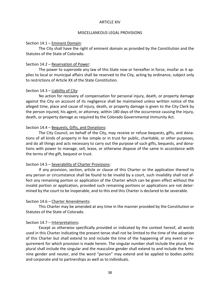#### ARTICLE XIV

#### MISCELLANEOUS LEGAL PROVISIONS

#### Section 14.1 – Eminent Domain:

The City shall have the right of eminent domain as provided by the Constitution and the Statutes of the State of Colorado.

## Section 14.2 – Reservation of Power:

The power to supersede any law of this State now or hereafter in force, insofar as it applies to local or municipal affairs shall be reserved to the City, acting by ordinance, subject only to restrictions of Article XX of the State Constitution.

## Section 14.3 – Liability of City:

No action for recovery of compensation for personal injury, death, or property damage against the City on account of its negligence shall be maintained unless written notice of the alleged time, place and cause of injury, death, or property damage is given to the City Clerk by the person injured, his agent, or attorney, within 180 days of the occurrence causing the injury, death, or property damage as required by the Colorado Governmental Immunity Act.

## Section 14.4 – Bequests, Gifts, and Donations:

The City Council, on behalf of the City, may receive or refuse bequests, gifts, and donations of all kinds of property in fee simple or in trust for public, charitable, or other purposes, and do all things and acts necessary to carry out the purpose of such gifts, bequests, and donations with power to manage, sell, lease, or otherwise dispose of the same in accordance with the terms of the gift, bequest or trust.

## Section 14.5 – Severability of Charter Provisions:

If any provision, section, article or clause of this Charter or the application thereof to any person or circumstance shall be found to be invalid by a court, such invalidity shall not affect any remaining portion or application of the Charter which can be given effect without the invalid portion or application, provided such remaining portions or applications are not determined by the court to be inoperable, and to this end this Charter is declared to be severable.

## Section 14.6 – Charter Amendments:

This Charter may be amended at any time in the manner provided by the Constitution or Statutes of the State of Colorado.

# Section 14.7 – Interpretations:

Except as otherwise specifically provided or indicated by the context hereof, all words used in this Charter indicating the present tense shall not be limited to the time of the adoption of this Charter but shall extend to and include the time of the happening of any event or requirement for which provision is made herein. The singular number shall include the plural, the plural shall include the singular and the masculine gender shall extend to and include the feminine gender and neuter, and the word "person" may extend and be applied to bodies politic and corporate and to partnerships as well as to individuals.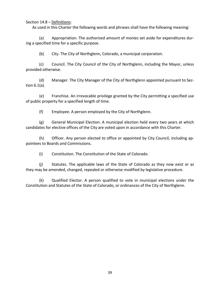Section 14.8 – Definitions:

As used in this Charter the following words and phrases shall have the following meaning:

(a) Appropriation. The authorized amount of monies set aside for expenditures during a specified time for a specific purpose.

(b) City. The City of Northglenn, Colorado, a municipal corporation.

(c) Council. The City Council of the City of Northglenn, including the Mayor, unless provided otherwise.

(d) Manager. The City Manager of the City of Northglenn appointed pursuant to Section 6.1(a).

(e) Franchise. An irrevocable privilege granted by the City permitting a specified use of public property for a specified length of time.

(f) Employee. A person employed by the City of Northglenn.

(g) General Municipal Election. A municipal election held every two years at which candidates for elective offices of the City are voted upon in accordance with this Charter.

(h) Officer. Any person elected to office or appointed by City Council, including appointees to Boards and Commissions.

(i) Constitution. The Constitution of the State of Colorado.

(j) Statutes. The applicable laws of the State of Colorado as they now exist or as they may be amended, changed, repealed or otherwise modified by legislative procedure.

(k) Qualified Elector. A person qualified to vote in municipal elections under the Constitution and Statutes of the State of Colorado, or ordinances of the City of Northglenn.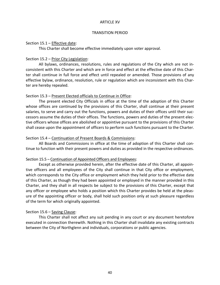#### ARTICLE XV

#### TRANSITION PERIOD

#### Section 15.1 – Effective date:

This Charter shall become effective immediately upon voter approval.

## Section 15.2 – Prior City Legislation:

All bylaws, ordinances, resolutions, rules and regulations of the City which are not inconsistent with this Charter and which are in force and effect at the effective date of this Charter shall continue in full force and effect until repealed or amended. Those provisions of any effective bylaw, ordinance, resolution, rule or regulation which are inconsistent with this Charter are hereby repealed.

## Section 15.3 – Present Elected officials to Continue in Office:

The present elected City Officials in office at the time of the adoption of this Charter whose offices are continued by the provisions of this Charter, shall continue at their present salaries, to serve and carry out the functions, powers and duties of their offices until their successors assume the duties of their offices. The functions, powers and duties of the present elective officers whose offices are abolished or appointive pursuant to the provisions of this Charter shall cease upon the appointment of officers to perform such functions pursuant to the Charter.

## Section 15.4 – Continuation of Present Boards & Commissions:

All Boards and Commissions in office at the time of adoption of this Charter shall continue to function with their present powers and duties as provided in the respective ordinances.

## Section 15.5 – Continuation of Appointed Officers and Employees:

Except as otherwise provided herein, after the effective date of this Charter, all appointive officers and all employees of the City shall continue in that City office or employment, which corresponds to the City office or employment which they held prior to the effective date of this Charter, as though they had been appointed or employed in the manner provided in this Charter, and they shall in all respects be subject to the provisions of this Charter, except that any officer or employee who holds a position which this Charter provides be held at the pleasure of the appointing officer or body, shall hold such position only at such pleasure regardless of the term for which originally appointed.

## Section 15.6 – Saving Clause:

This Charter shall not affect any suit pending in any court or any document heretofore executed in connection therewith. Nothing in this Charter shall invalidate any existing contracts between the City of Northglenn and individuals, corporations or public agencies.